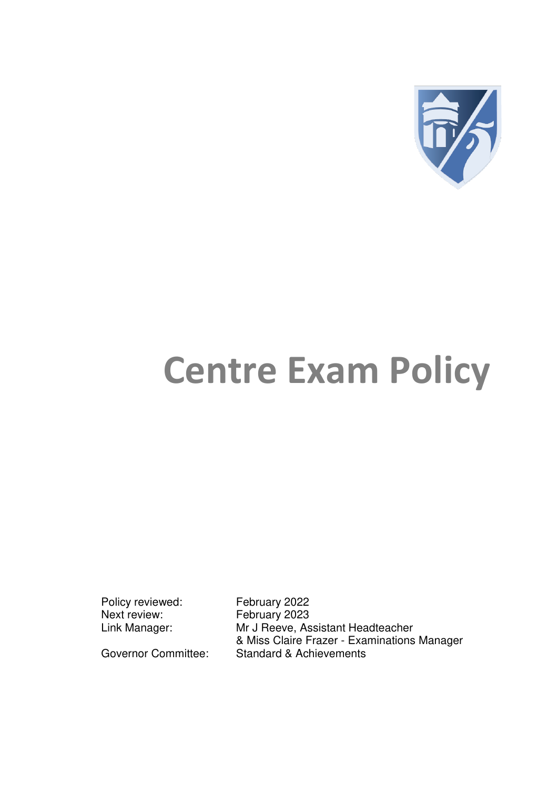

# **Centre Exam Policy**

Policy reviewed: February 2022<br>Next review: February 2023

February 2023 Link Manager: Mr J Reeve, Assistant Headteacher & Miss Claire Frazer - Examinations Manager Governor Committee: Standard & Achievements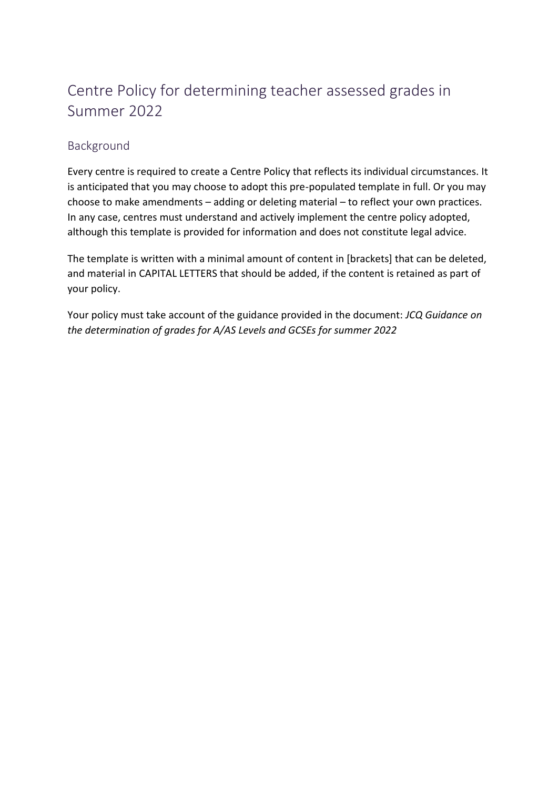## Centre Policy for determining teacher assessed grades in Summer 2022

## **Background**

Every centre is required to create a Centre Policy that reflects its individual circumstances. It is anticipated that you may choose to adopt this pre-populated template in full. Or you may choose to make amendments – adding or deleting material – to reflect your own practices. In any case, centres must understand and actively implement the centre policy adopted, although this template is provided for information and does not constitute legal advice.

The template is written with a minimal amount of content in [brackets] that can be deleted, and material in CAPITAL LETTERS that should be added, if the content is retained as part of your policy.

Your policy must take account of the guidance provided in the document: *JCQ Guidance on the determination of grades for A/AS Levels and GCSEs for summer 2022*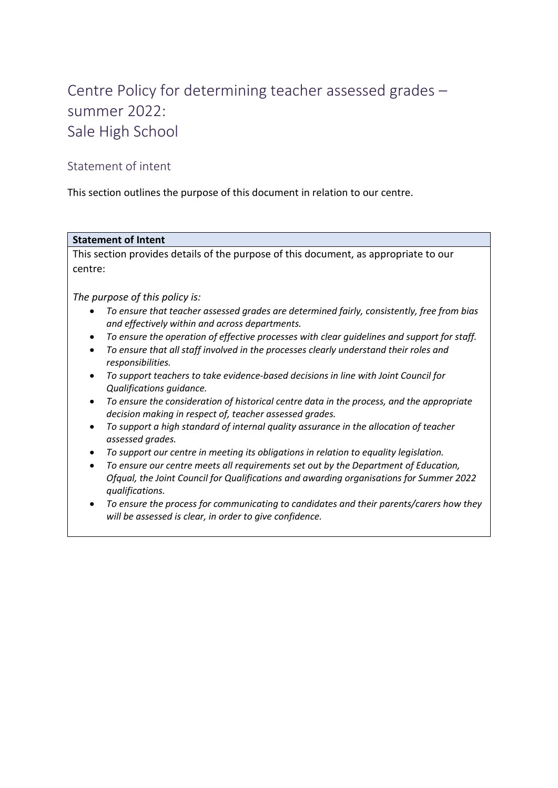# Centre Policy for determining teacher assessed grades – summer 2022: Sale High School

## Statement of intent

This section outlines the purpose of this document in relation to our centre.

#### **Statement of Intent**

This section provides details of the purpose of this document, as appropriate to our centre:

*The purpose of this policy is:* 

- *To ensure that teacher assessed grades are determined fairly, consistently, free from bias and effectively within and across departments.*
- *To ensure the operation of effective processes with clear guidelines and support for staff.*
- *To ensure that all staff involved in the processes clearly understand their roles and responsibilities.*
- *To support teachers to take evidence-based decisions in line with Joint Council for Qualifications guidance.*
- *To ensure the consideration of historical centre data in the process, and the appropriate decision making in respect of, teacher assessed grades.*
- *To support a high standard of internal quality assurance in the allocation of teacher assessed grades.*
- *To support our centre in meeting its obligations in relation to equality legislation.*
- *To ensure our centre meets all requirements set out by the Department of Education, Ofqual, the Joint Council for Qualifications and awarding organisations for Summer 2022 qualifications.*
- *To ensure the process for communicating to candidates and their parents/carers how they will be assessed is clear, in order to give confidence.*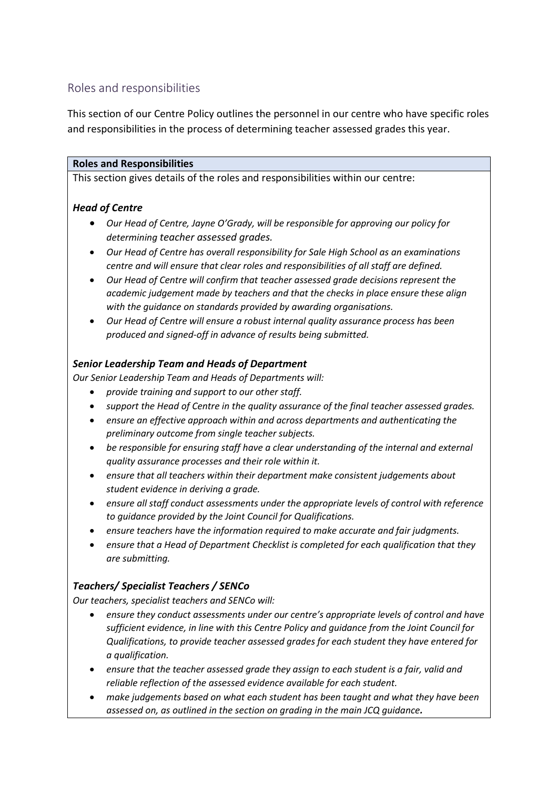## Roles and responsibilities

This section of our Centre Policy outlines the personnel in our centre who have specific roles and responsibilities in the process of determining teacher assessed grades this year.

#### **Roles and Responsibilities**

This section gives details of the roles and responsibilities within our centre:

## *Head of Centre*

- *Our Head of Centre, Jayne O'Grady, will be responsible for approving our policy for determining teacher assessed grades.*
- *Our Head of Centre has overall responsibility for Sale High School as an examinations centre and will ensure that clear roles and responsibilities of all staff are defined.*
- *Our Head of Centre will confirm that teacher assessed grade decisions represent the academic judgement made by teachers and that the checks in place ensure these align with the guidance on standards provided by awarding organisations.*
- *Our Head of Centre will ensure a robust internal quality assurance process has been produced and signed-off in advance of results being submitted.*

## *Senior Leadership Team and Heads of Department*

*Our Senior Leadership Team and Heads of Departments will:*

- *provide training and support to our other staff.*
- *support the Head of Centre in the quality assurance of the final teacher assessed grades.*
- *ensure an effective approach within and across departments and authenticating the preliminary outcome from single teacher subjects.*
- *be responsible for ensuring staff have a clear understanding of the internal and external quality assurance processes and their role within it.*
- *ensure that all teachers within their department make consistent judgements about student evidence in deriving a grade.*
- *ensure all staff conduct assessments under the appropriate levels of control with reference to guidance provided by the Joint Council for Qualifications.*
- *ensure teachers have the information required to make accurate and fair judgments.*
- *ensure that a Head of Department Checklist is completed for each qualification that they are submitting.*

## *Teachers/ Specialist Teachers / SENCo*

*Our teachers, specialist teachers and SENCo will:*

- *ensure they conduct assessments under our centre's appropriate levels of control and have sufficient evidence, in line with this Centre Policy and guidance from the Joint Council for Qualifications, to provide teacher assessed grades for each student they have entered for a qualification.*
- *ensure that the teacher assessed grade they assign to each student is a fair, valid and reliable reflection of the assessed evidence available for each student.*
- *make judgements based on what each student has been taught and what they have been assessed on, as outlined in the section on grading in the main JCQ guidance.*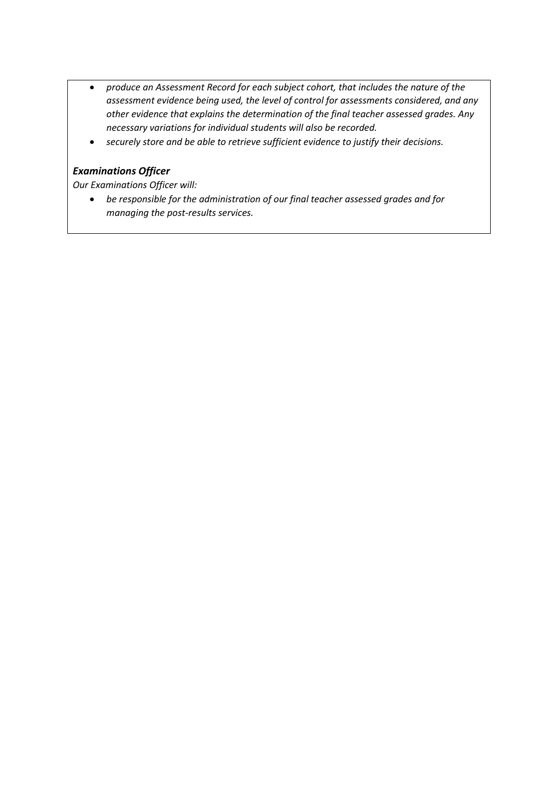- *produce an Assessment Record for each subject cohort, that includes the nature of the assessment evidence being used, the level of control for assessments considered, and any other evidence that explains the determination of the final teacher assessed grades. Any necessary variations for individual students will also be recorded.*
- *securely store and be able to retrieve sufficient evidence to justify their decisions.*

## *Examinations Officer*

*Our Examinations Officer will:*

 *be responsible for the administration of our final teacher assessed grades and for managing the post-results services.*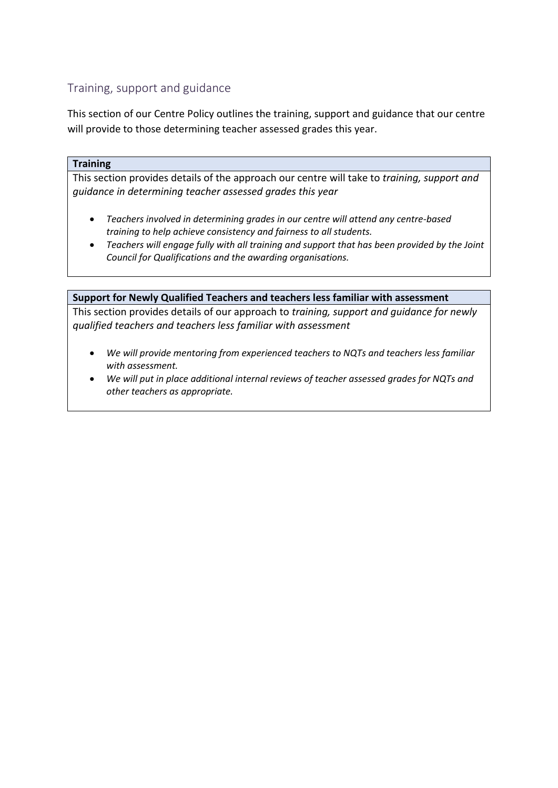## Training, support and guidance

This section of our Centre Policy outlines the training, support and guidance that our centre will provide to those determining teacher assessed grades this year.

#### **Training**

This section provides details of the approach our centre will take to *training, support and guidance in determining teacher assessed grades this year*

- *Teachers involved in determining grades in our centre will attend any centre-based training to help achieve consistency and fairness to all students.*
- *Teachers will engage fully with all training and support that has been provided by the Joint Council for Qualifications and the awarding organisations.*

#### **Support for Newly Qualified Teachers and teachers less familiar with assessment**

This section provides details of our approach to *training, support and guidance for newly qualified teachers and teachers less familiar with assessment* 

- *We will provide mentoring from experienced teachers to NQTs and teachers less familiar with assessment.*
- *We will put in place additional internal reviews of teacher assessed grades for NQTs and other teachers as appropriate.*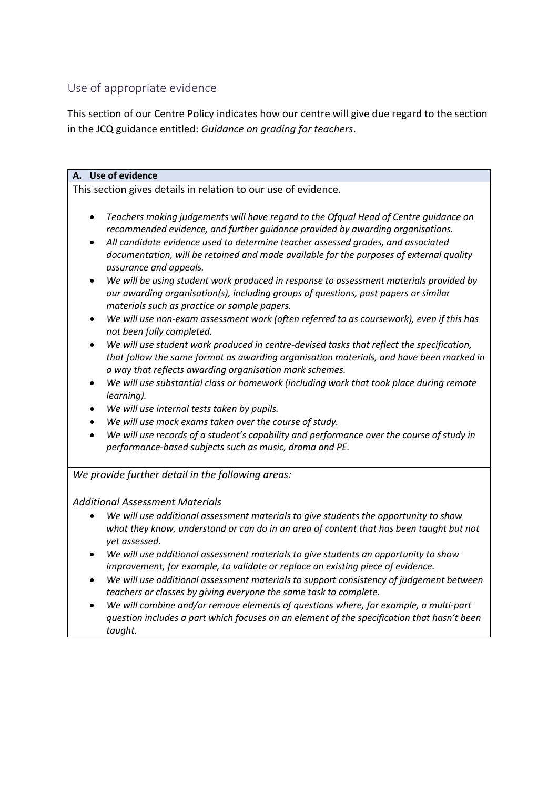## Use of appropriate evidence

This section of our Centre Policy indicates how our centre will give due regard to the section in the JCQ guidance entitled: *Guidance on grading for teachers*.

## **A. Use of evidence**  This section gives details in relation to our use of evidence. *Teachers making judgements will have regard to the Ofqual Head of Centre guidance on recommended evidence, and further guidance provided by awarding organisations. All candidate evidence used to determine teacher assessed grades, and associated documentation, will be retained and made available for the purposes of external quality assurance and appeals. We will be using student work produced in response to assessment materials provided by our awarding organisation(s), including groups of questions, past papers or similar materials such as practice or sample papers. We will use non-exam assessment work (often referred to as coursework), even if this has not been fully completed. We will use student work produced in centre-devised tasks that reflect the specification, that follow the same format as awarding organisation materials, and have been marked in a way that reflects awarding organisation mark schemes. We will use substantial class or homework (including work that took place during remote learning). We will use internal tests taken by pupils. We will use mock exams taken over the course of study. We will use records of a student's capability and performance over the course of study in performance-based subjects such as music, drama and PE.*

*We provide further detail in the following areas:* 

## *Additional Assessment Materials*

- *We will use additional assessment materials to give students the opportunity to show what they know, understand or can do in an area of content that has been taught but not yet assessed.*
- *We will use additional assessment materials to give students an opportunity to show improvement, for example, to validate or replace an existing piece of evidence.*
- *We will use additional assessment materials to support consistency of judgement between teachers or classes by giving everyone the same task to complete.*
- *We will combine and/or remove elements of questions where, for example, a multi-part question includes a part which focuses on an element of the specification that hasn't been taught.*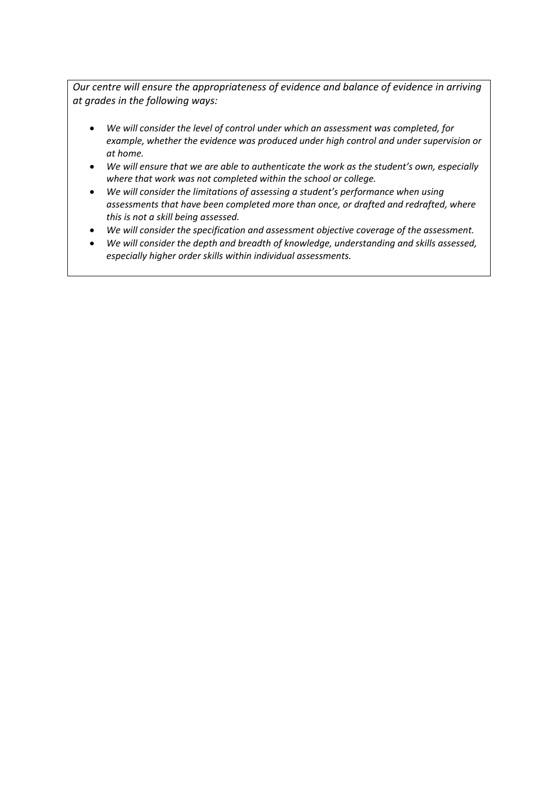*Our centre will ensure the appropriateness of evidence and balance of evidence in arriving at grades in the following ways:* 

- *We will consider the level of control under which an assessment was completed, for example, whether the evidence was produced under high control and under supervision or at home.*
- *We will ensure that we are able to authenticate the work as the student's own, especially where that work was not completed within the school or college.*
- *We will consider the limitations of assessing a student's performance when using assessments that have been completed more than once, or drafted and redrafted, where this is not a skill being assessed.*
- *We will consider the specification and assessment objective coverage of the assessment.*
- *We will consider the depth and breadth of knowledge, understanding and skills assessed, especially higher order skills within individual assessments.*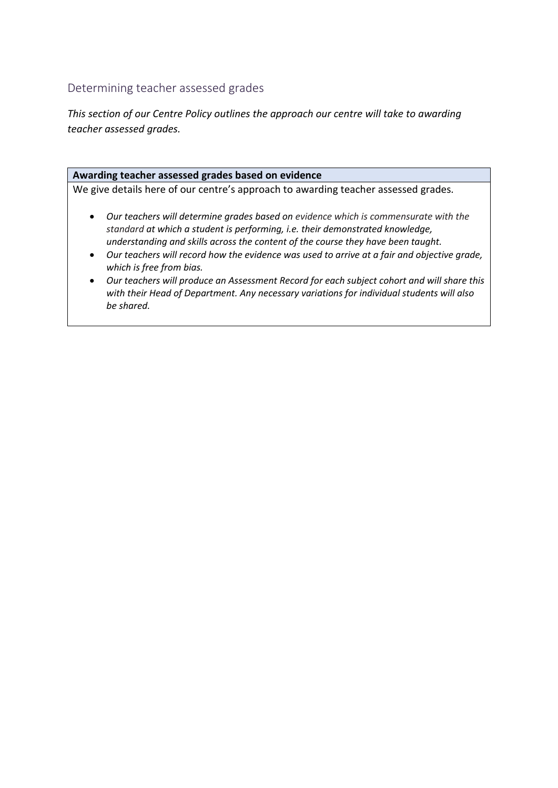Determining teacher assessed grades

*This section of our Centre Policy outlines the approach our centre will take to awarding teacher assessed grades.* 

#### **Awarding teacher assessed grades based on evidence**

We give details here of our centre's approach to awarding teacher assessed grades*.* 

- *Our teachers will determine grades based on evidence which is commensurate with the standard at which a student is performing, i.e. their demonstrated knowledge, understanding and skills across the content of the course they have been taught.*
- *Our teachers will record how the evidence was used to arrive at a fair and objective grade, which is free from bias.*
- *Our teachers will produce an Assessment Record for each subject cohort and will share this with their Head of Department. Any necessary variations for individual students will also be shared.*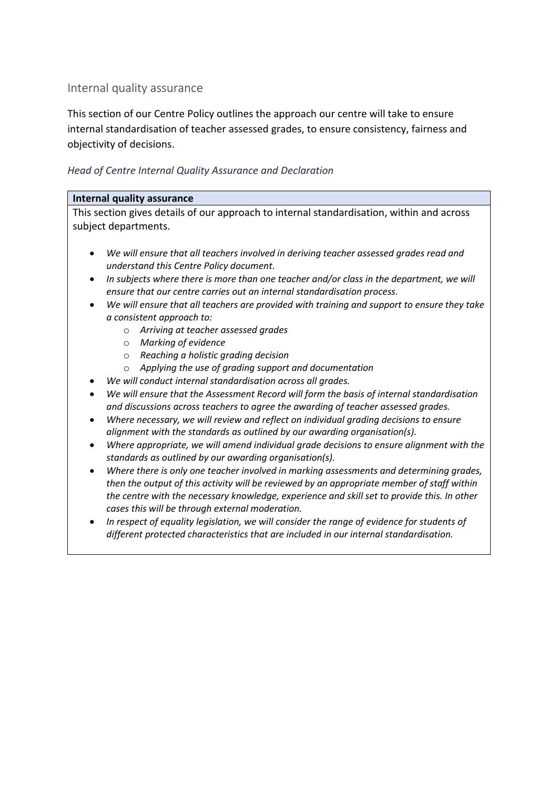## Internal quality assurance

This section of our Centre Policy outlines the approach our centre will take to ensure internal standardisation of teacher assessed grades, to ensure consistency, fairness and objectivity of decisions.

#### *Head of Centre Internal Quality Assurance and Declaration*

#### **Internal quality assurance**

This section gives details of our approach to internal standardisation, within and across subject departments.

- *We will ensure that all teachers involved in deriving teacher assessed grades read and understand this Centre Policy document.*
- *In subjects where there is more than one teacher and/or class in the department, we will ensure that our centre carries out an internal standardisation process.*
- *We will ensure that all teachers are provided with training and support to ensure they take a consistent approach to:* 
	- o *Arriving at teacher assessed grades*
	- o *Marking of evidence*
	- o *Reaching a holistic grading decision*
	- o *Applying the use of grading support and documentation*
- *We will conduct internal standardisation across all grades.*
- *We will ensure that the Assessment Record will form the basis of internal standardisation and discussions across teachers to agree the awarding of teacher assessed grades.*
- *Where necessary, we will review and reflect on individual grading decisions to ensure alignment with the standards as outlined by our awarding organisation(s).*
- *Where appropriate, we will amend individual grade decisions to ensure alignment with the standards as outlined by our awarding organisation(s).*
- *Where there is only one teacher involved in marking assessments and determining grades, then the output of this activity will be reviewed by an appropriate member of staff within the centre with the necessary knowledge, experience and skill set to provide this. In other cases this will be through external moderation.*
- *In respect of equality legislation, we will consider the range of evidence for students of different protected characteristics that are included in our internal standardisation.*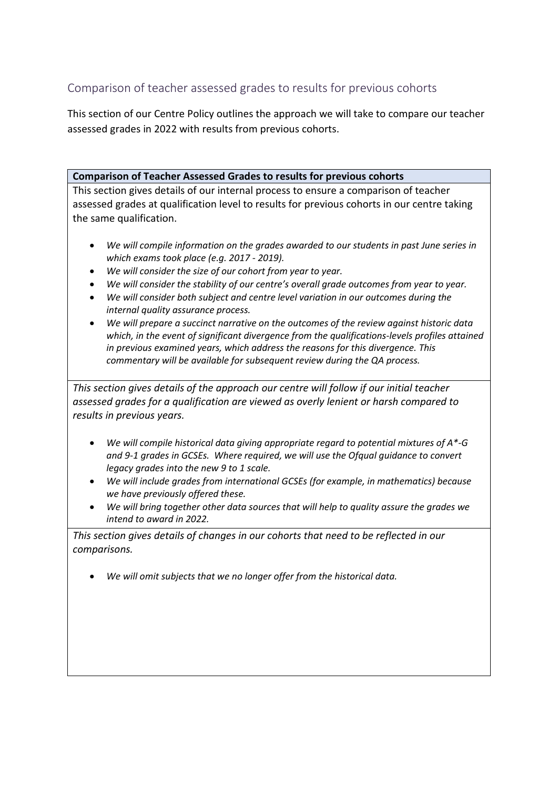## Comparison of teacher assessed grades to results for previous cohorts

This section of our Centre Policy outlines the approach we will take to compare our teacher assessed grades in 2022 with results from previous cohorts.

## **Comparison of Teacher Assessed Grades to results for previous cohorts**

This section gives details of our internal process to ensure a comparison of teacher assessed grades at qualification level to results for previous cohorts in our centre taking the same qualification.

- *We will compile information on the grades awarded to our students in past June series in which exams took place (e.g. 2017 - 2019).*
- *We will consider the size of our cohort from year to year.*
- We will consider the stability of our centre's overall grade outcomes from year to year.
- *We will consider both subject and centre level variation in our outcomes during the internal quality assurance process.*
- *We will prepare a succinct narrative on the outcomes of the review against historic data which, in the event of significant divergence from the qualifications-levels profiles attained in previous examined years, which address the reasons for this divergence. This commentary will be available for subsequent review during the QA process.*

*This section gives details of the approach our centre will follow if our initial teacher assessed grades for a qualification are viewed as overly lenient or harsh compared to results in previous years.* 

- *We will compile historical data giving appropriate regard to potential mixtures of A\*-G and 9-1 grades in GCSEs. Where required, we will use the Ofqual guidance to convert legacy grades into the new 9 to 1 scale.*
- *We will include grades from international GCSEs (for example, in mathematics) because we have previously offered these.*
- *We will bring together other data sources that will help to quality assure the grades we intend to award in 2022.*

*This section gives details of changes in our cohorts that need to be reflected in our comparisons.* 

*We will omit subjects that we no longer offer from the historical data.*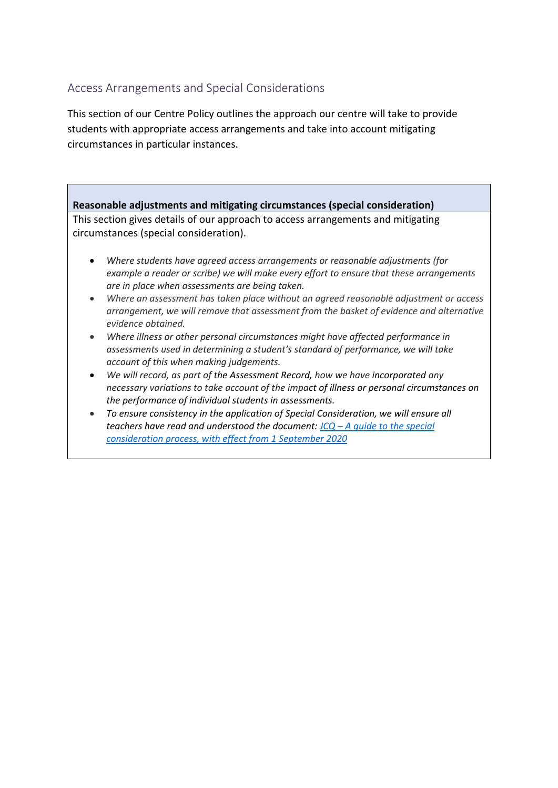## Access Arrangements and Special Considerations

This section of our Centre Policy outlines the approach our centre will take to provide students with appropriate access arrangements and take into account mitigating circumstances in particular instances.

## **Reasonable adjustments and mitigating circumstances (special consideration)**

This section gives details of our approach to access arrangements and mitigating circumstances (special consideration).

- *Where students have agreed access arrangements or reasonable adjustments (for example a reader or scribe) we will make every effort to ensure that these arrangements are in place when assessments are being taken.*
- *Where an assessment has taken place without an agreed reasonable adjustment or access arrangement, we will remove that assessment from the basket of evidence and alternative evidence obtained.*
- *Where illness or other personal circumstances might have affected performance in assessments used in determining a student's standard of performance, we will take account of this when making judgements.*
- *We will record, as part of the Assessment Record, how we have incorporated any necessary variations to take account of the impact of illness or personal circumstances on the performance of individual students in assessments.*
- *To ensure consistency in the application of Special Consideration, we will ensure all teachers have read and understood the document: JCQ – [A guide to the special](https://www.jcq.org.uk/wp-content/uploads/2020/08/A-guide-to-the-spec-con-process-202021-Website-version.pdf)  [consideration process, with effect from 1 September 2020](https://www.jcq.org.uk/wp-content/uploads/2020/08/A-guide-to-the-spec-con-process-202021-Website-version.pdf)*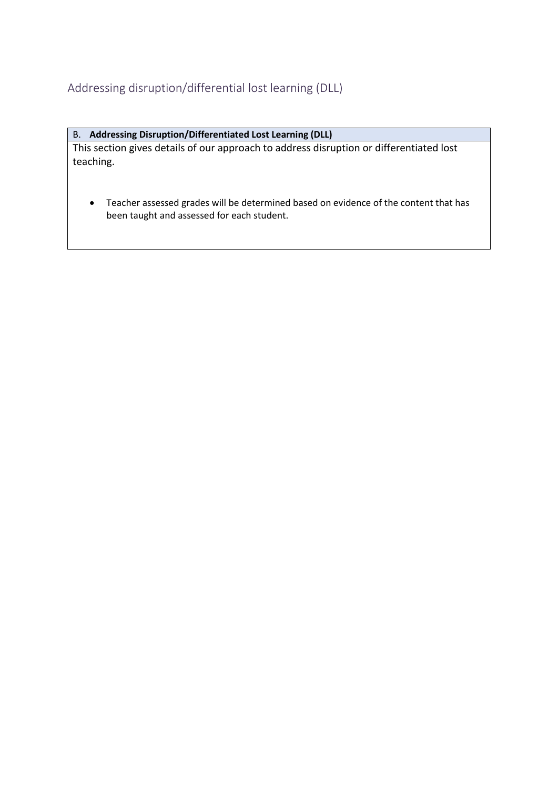## Addressing disruption/differential lost learning (DLL)

## B. **Addressing Disruption/Differentiated Lost Learning (DLL)**

This section gives details of our approach to address disruption or differentiated lost teaching.

 Teacher assessed grades will be determined based on evidence of the content that has been taught and assessed for each student.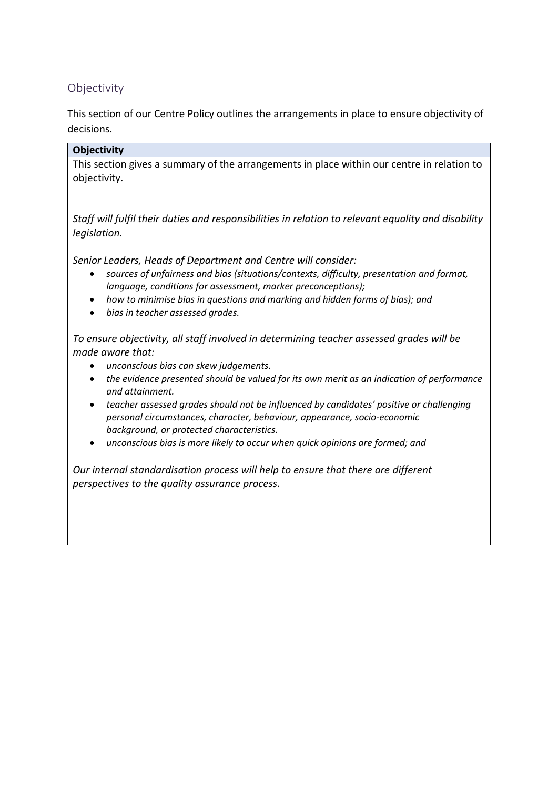## Objectivity

This section of our Centre Policy outlines the arrangements in place to ensure objectivity of decisions.

## **Objectivity**

This section gives a summary of the arrangements in place within our centre in relation to objectivity.

*Staff will fulfil their duties and responsibilities in relation to relevant equality and disability legislation.* 

*Senior Leaders, Heads of Department and Centre will consider:* 

- *sources of unfairness and bias (situations/contexts, difficulty, presentation and format, language, conditions for assessment, marker preconceptions);*
- *how to minimise bias in questions and marking and hidden forms of bias); and*
- *bias in teacher assessed grades.*

*To ensure objectivity, all staff involved in determining teacher assessed grades will be made aware that:* 

- *unconscious bias can skew judgements.*
- *the evidence presented should be valued for its own merit as an indication of performance and attainment.*
- *teacher assessed grades should not be influenced by candidates' positive or challenging personal circumstances, character, behaviour, appearance, socio-economic background, or protected characteristics.*
- *unconscious bias is more likely to occur when quick opinions are formed; and*

*Our internal standardisation process will help to ensure that there are different perspectives to the quality assurance process.*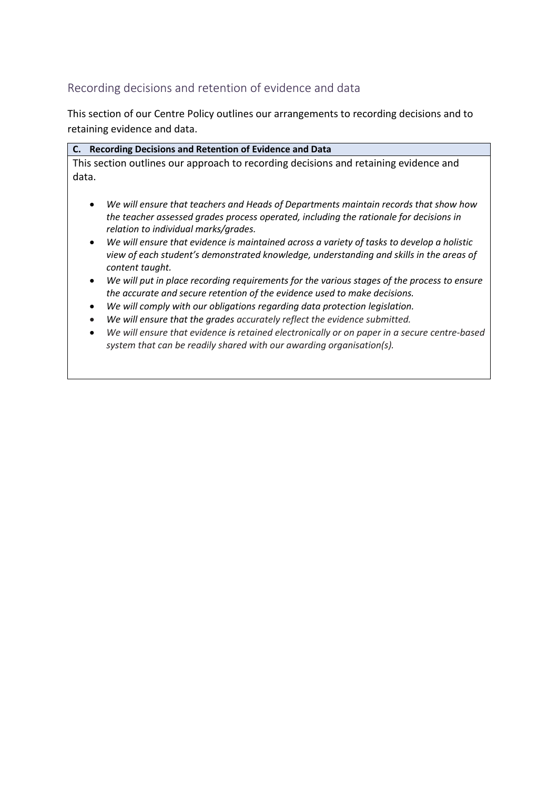## Recording decisions and retention of evidence and data

This section of our Centre Policy outlines our arrangements to recording decisions and to retaining evidence and data.

|       | C. Recording Decisions and Retention of Evidence and Data                            |
|-------|--------------------------------------------------------------------------------------|
|       | This section outlines our approach to recording decisions and retaining evidence and |
| data. |                                                                                      |

- *We will ensure that teachers and Heads of Departments maintain records that show how the teacher assessed grades process operated, including the rationale for decisions in relation to individual marks/grades.*
- *We will ensure that evidence is maintained across a variety of tasks to develop a holistic view of each student's demonstrated knowledge, understanding and skills in the areas of content taught.*
- *We will put in place recording requirements for the various stages of the process to ensure the accurate and secure retention of the evidence used to make decisions.*
- *We will comply with our obligations regarding data protection legislation.*
- *We will ensure that the grades accurately reflect the evidence submitted.*
- *We will ensure that evidence is retained electronically or on paper in a secure centre-based system that can be readily shared with our awarding organisation(s).*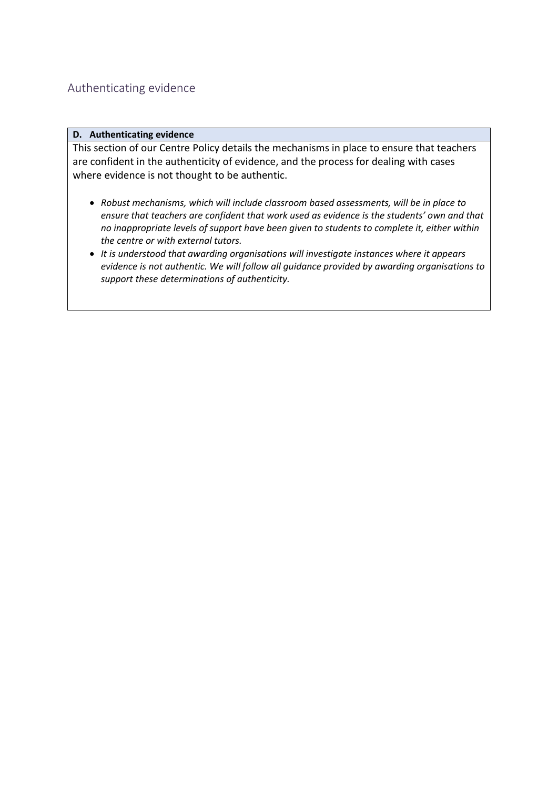## Authenticating evidence

#### **D. Authenticating evidence**

This section of our Centre Policy details the mechanisms in place to ensure that teachers are confident in the authenticity of evidence, and the process for dealing with cases where evidence is not thought to be authentic.

- *Robust mechanisms, which will include classroom based assessments, will be in place to ensure that teachers are confident that work used as evidence is the students' own and that no inappropriate levels of support have been given to students to complete it, either within the centre or with external tutors.*
- *It is understood that awarding organisations will investigate instances where it appears evidence is not authentic. We will follow all guidance provided by awarding organisations to support these determinations of authenticity.*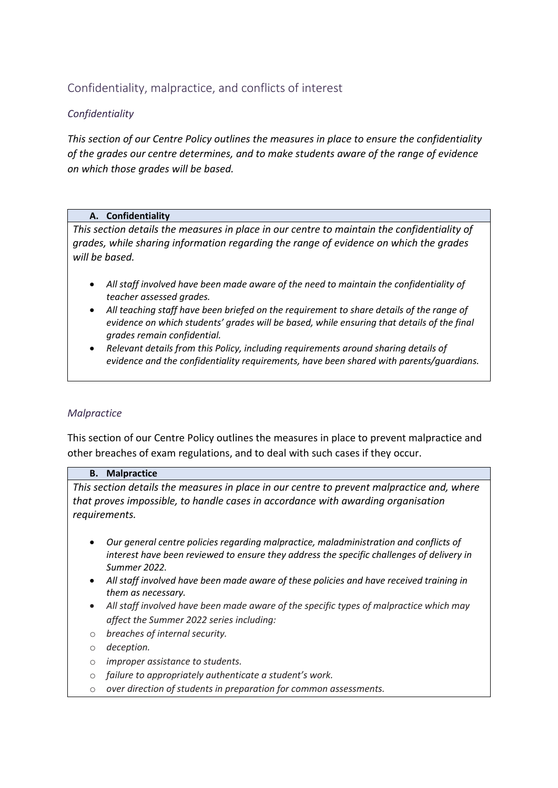## Confidentiality, malpractice, and conflicts of interest

## *Confidentiality*

*This section of our Centre Policy outlines the measures in place to ensure the confidentiality of the grades our centre determines, and to make students aware of the range of evidence on which those grades will be based.* 

#### **A. Confidentiality**

*This section details the measures in place in our centre to maintain the confidentiality of grades, while sharing information regarding the range of evidence on which the grades will be based.* 

- *All staff involved have been made aware of the need to maintain the confidentiality of teacher assessed grades.*
- *All teaching staff have been briefed on the requirement to share details of the range of evidence on which students' grades will be based, while ensuring that details of the final grades remain confidential.*
- *Relevant details from this Policy, including requirements around sharing details of evidence and the confidentiality requirements, have been shared with parents/guardians.*

#### *Malpractice*

This section of our Centre Policy outlines the measures in place to prevent malpractice and other breaches of exam regulations, and to deal with such cases if they occur.

#### **B. Malpractice**

*This section details the measures in place in our centre to prevent malpractice and, where that proves impossible, to handle cases in accordance with awarding organisation requirements.* 

- *Our general centre policies regarding malpractice, maladministration and conflicts of interest have been reviewed to ensure they address the specific challenges of delivery in Summer 2022.*
- *All staff involved have been made aware of these policies and have received training in them as necessary.*
- *All staff involved have been made aware of the specific types of malpractice which may affect the Summer 2022 series including:*
- o *breaches of internal security.*
- o *deception.*
- o *improper assistance to students.*
- o *failure to appropriately authenticate a student's work.*
- o *over direction of students in preparation for common assessments.*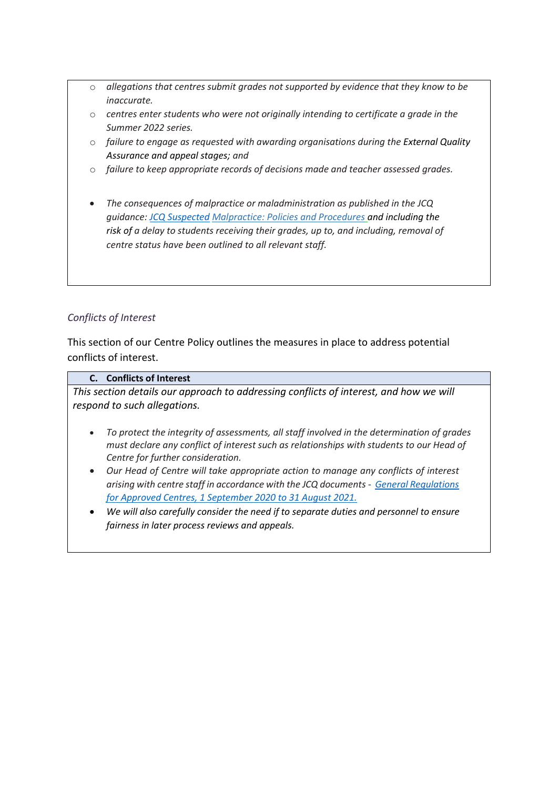- o *allegations that centres submit grades not supported by evidence that they know to be inaccurate.*
- o *centres enter students who were not originally intending to certificate a grade in the Summer 2022 series.*
- o *failure to engage as requested with awarding organisations during the External Quality Assurance and appeal stages; and*
- o *failure to keep appropriate records of decisions made and teacher assessed grades.*
- *The consequences of malpractice or maladministration as published in the JCQ guidance: [JCQ Suspected](https://www.jcq.org.uk/exams-office/malpractice/jcq-suspected-malpractice-policies-and-procedures-2019-2020) Malpractice: Policies and Procedures and including the risk of a delay to students receiving their grades, up to, and including, removal of centre status have been outlined to all relevant staff.*

## *Conflicts of Interest*

This section of our Centre Policy outlines the measures in place to address potential conflicts of interest.

#### **C. Conflicts of Interest**

*This section details our approach to addressing conflicts of interest, and how we will respond to such allegations.* 

- *To protect the integrity of assessments, all staff involved in the determination of grades must declare any conflict of interest such as relationships with students to our Head of Centre for further consideration.*
- *Our Head of Centre will take appropriate action to manage any conflicts of interest arising with centre staff in accordance with the JCQ documents - [General Regulations](https://www.jcq.org.uk/wp-content/uploads/2020/09/Gen_regs_approved_centres_20-21_FINAL.pdf)  [for Approved Centres, 1 September 2020 to 31 August 2021.](https://www.jcq.org.uk/wp-content/uploads/2020/09/Gen_regs_approved_centres_20-21_FINAL.pdf)*
- *We will also carefully consider the need if to separate duties and personnel to ensure fairness in later process reviews and appeals.*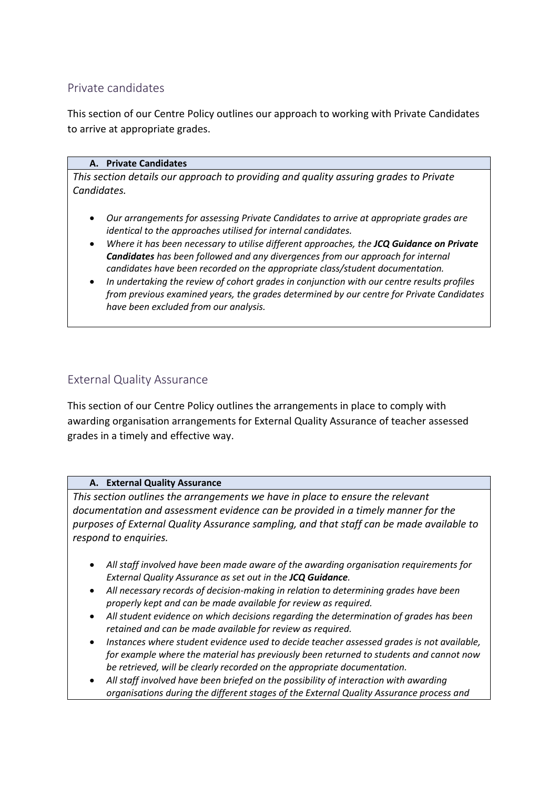## Private candidates

This section of our Centre Policy outlines our approach to working with Private Candidates to arrive at appropriate grades.

#### **A. Private Candidates**

*This section details our approach to providing and quality assuring grades to Private Candidates.* 

- *Our arrangements for assessing Private Candidates to arrive at appropriate grades are identical to the approaches utilised for internal candidates.*
- *Where it has been necessary to utilise different approaches, the JCQ Guidance on Private Candidates has been followed and any divergences from our approach for internal candidates have been recorded on the appropriate class/student documentation.*
- *In undertaking the review of cohort grades in conjunction with our centre results profiles from previous examined years, the grades determined by our centre for Private Candidates have been excluded from our analysis.*

## External Quality Assurance

This section of our Centre Policy outlines the arrangements in place to comply with awarding organisation arrangements for External Quality Assurance of teacher assessed grades in a timely and effective way.

#### **A. External Quality Assurance**

*This section outlines the arrangements we have in place to ensure the relevant documentation and assessment evidence can be provided in a timely manner for the purposes of External Quality Assurance sampling, and that staff can be made available to respond to enquiries.* 

- *All staff involved have been made aware of the awarding organisation requirements for External Quality Assurance as set out in the JCQ Guidance.*
- *All necessary records of decision-making in relation to determining grades have been properly kept and can be made available for review as required.*
- *All student evidence on which decisions regarding the determination of grades has been retained and can be made available for review as required.*
- *Instances where student evidence used to decide teacher assessed grades is not available, for example where the material has previously been returned to students and cannot now be retrieved, will be clearly recorded on the appropriate documentation.*
- *All staff involved have been briefed on the possibility of interaction with awarding organisations during the different stages of the External Quality Assurance process and*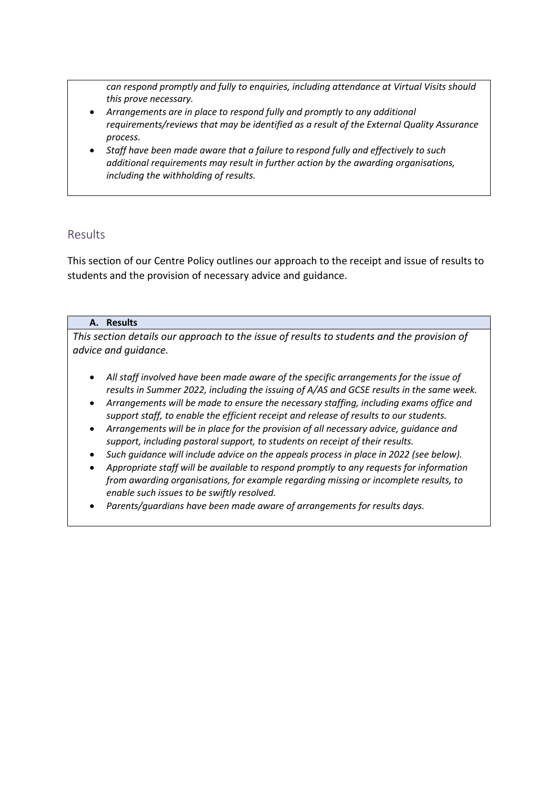*can respond promptly and fully to enquiries, including attendance at Virtual Visits should this prove necessary.* 

- *Arrangements are in place to respond fully and promptly to any additional requirements/reviews that may be identified as a result of the External Quality Assurance process.*
- *Staff have been made aware that a failure to respond fully and effectively to such additional requirements may result in further action by the awarding organisations, including the withholding of results.*

## Results

This section of our Centre Policy outlines our approach to the receipt and issue of results to students and the provision of necessary advice and guidance.

#### **A. Results**

*This section details our approach to the issue of results to students and the provision of advice and guidance.* 

- *All staff involved have been made aware of the specific arrangements for the issue of results in Summer 2022, including the issuing of A/AS and GCSE results in the same week.*
- *Arrangements will be made to ensure the necessary staffing, including exams office and support staff, to enable the efficient receipt and release of results to our students.*
- *Arrangements will be in place for the provision of all necessary advice, guidance and support, including pastoral support, to students on receipt of their results.*
- *Such guidance will include advice on the appeals process in place in 2022 (see below).*
- *Appropriate staff will be available to respond promptly to any requests for information from awarding organisations, for example regarding missing or incomplete results, to enable such issues to be swiftly resolved.*
- *Parents/guardians have been made aware of arrangements for results days.*